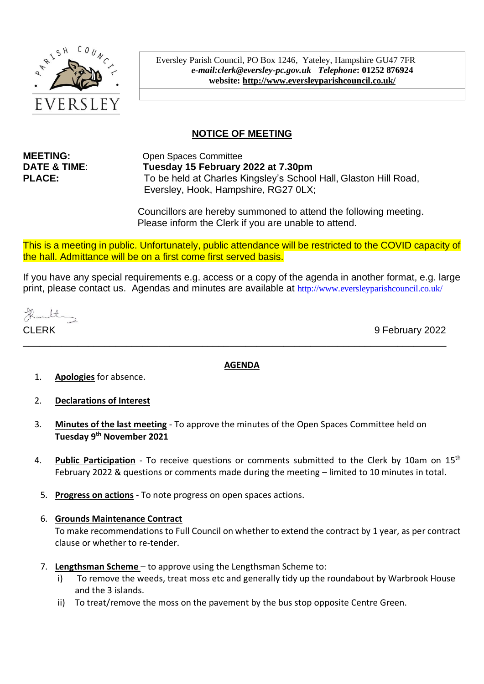

Eversley Parish Council, PO Box 1246, Yateley, Hampshire GU47 7FR *e-mail:clerk@eversley-pc.gov.uk**Telephone***: 01252 876924 website:<http://www.eversleyparishcouncil.co.uk/>**

# **NOTICE OF MEETING**

**MEETING:** Open Spaces Committee **DATE & TIME**: **Tuesday 15 February 2022 at 7.30pm PLACE:** To be held at Charles Kingsley's School Hall, Glaston Hill Road, Eversley, Hook, Hampshire, RG27 0LX;

> Councillors are hereby summoned to attend the following meeting. Please inform the Clerk if you are unable to attend.

This is a meeting in public. Unfortunately, public attendance will be restricted to the COVID capacity of the hall. Admittance will be on a first come first served basis.

If you have any special requirements e.g. access or a copy of the agenda in another format, e.g. large print, please contact us. Agendas and minutes are available at http://www.eversleyparishcouncil.co.uk/

Rembl

CLERK 9 February 2022

#### **AGENDA**

\_\_\_\_\_\_\_\_\_\_\_\_\_\_\_\_\_\_\_\_\_\_\_\_\_\_\_\_\_\_\_\_\_\_\_\_\_\_\_\_\_\_\_\_\_\_\_\_\_\_\_\_\_\_\_\_\_\_\_\_\_\_\_\_\_\_\_\_\_\_\_\_\_\_\_\_\_\_

- 1. **Apologies** for absence.
- 2. **Declarations of Interest**
- 3. **Minutes of the last meeting** To approve the minutes of the Open Spaces Committee held on **Tuesday 9 th November 2021**
- 4. **Public Participation** To receive questions or comments submitted to the Clerk by 10am on 15th February 2022 & questions or comments made during the meeting – limited to 10 minutes in total.
	- 5. **Progress on actions** To note progress on open spaces actions.

#### 6. **Grounds Maintenance Contract**

To make recommendations to Full Council on whether to extend the contract by 1 year, as per contract clause or whether to re-tender.

- 7. **Lengthsman Scheme**  to approve using the Lengthsman Scheme to:
	- i) To remove the weeds, treat moss etc and generally tidy up the roundabout by Warbrook House and the 3 islands.
	- ii) To treat/remove the moss on the pavement by the bus stop opposite Centre Green.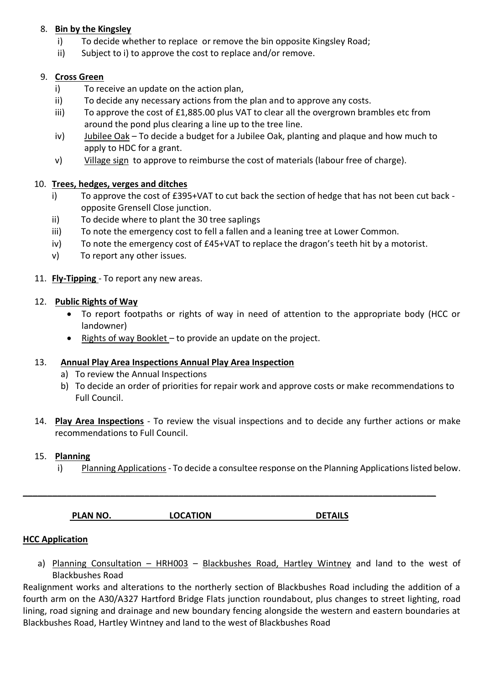## 8. **Bin by the Kingsley**

- i) To decide whether to replace or remove the bin opposite Kingsley Road;
- ii) Subject to i) to approve the cost to replace and/or remove.

## 9. **Cross Green**

- i) To receive an update on the action plan,
- ii) To decide any necessary actions from the plan and to approve any costs.
- iii) To approve the cost of £1,885.00 plus VAT to clear all the overgrown brambles etc from around the pond plus clearing a line up to the tree line.
- iv) Jubilee Oak To decide a budget for a Jubilee Oak, planting and plaque and how much to apply to HDC for a grant.
- v) Village sign to approve to reimburse the cost of materials (labour free of charge).

## 10. **Trees, hedges, verges and ditches**

- i) To approve the cost of £395+VAT to cut back the section of hedge that has not been cut back opposite Grensell Close junction.
- ii) To decide where to plant the 30 tree saplings
- iii) To note the emergency cost to fell a fallen and a leaning tree at Lower Common.
- iv) To note the emergency cost of £45+VAT to replace the dragon's teeth hit by a motorist.
- v) To report any other issues.
- 11. **Fly-Tipping** To report any new areas.

## 12. **Public Rights of Way**

- To report footpaths or rights of way in need of attention to the appropriate body (HCC or landowner)
- Rights of way Booklet to provide an update on the project.

## 13. **Annual Play Area Inspections Annual Play Area Inspection**

- a) To review the Annual Inspections
- b) To decide an order of priorities for repair work and approve costs or make recommendations to Full Council.
- 14. **Play Area Inspections** To review the visual inspections and to decide any further actions or make recommendations to Full Council.

## 15. **Planning**

i) Planning Applications - To decide a consultee response on the Planning Applications listed below.

| <b>LOCATION</b><br><b>DETAILS</b><br><b>PLAN NO.</b> |
|------------------------------------------------------|
|------------------------------------------------------|

**\_\_\_\_\_\_\_\_\_\_\_\_\_\_\_\_\_\_\_\_\_\_\_\_\_\_\_\_\_\_\_\_\_\_\_\_\_\_\_\_\_\_\_\_\_\_\_\_\_\_\_\_\_\_\_\_\_\_\_\_\_\_\_\_\_\_\_\_\_\_\_\_\_\_\_\_\_\_\_\_\_\_\_\_\_**

## **HCC Application**

a) Planning Consultation - HRH003 - Blackbushes Road, Hartley Wintney and land to the west of Blackbushes Road

Realignment works and alterations to the northerly section of Blackbushes Road including the addition of a fourth arm on the A30/A327 Hartford Bridge Flats junction roundabout, plus changes to street lighting, road lining, road signing and drainage and new boundary fencing alongside the western and eastern boundaries at Blackbushes Road, Hartley Wintney and land to the west of Blackbushes Road